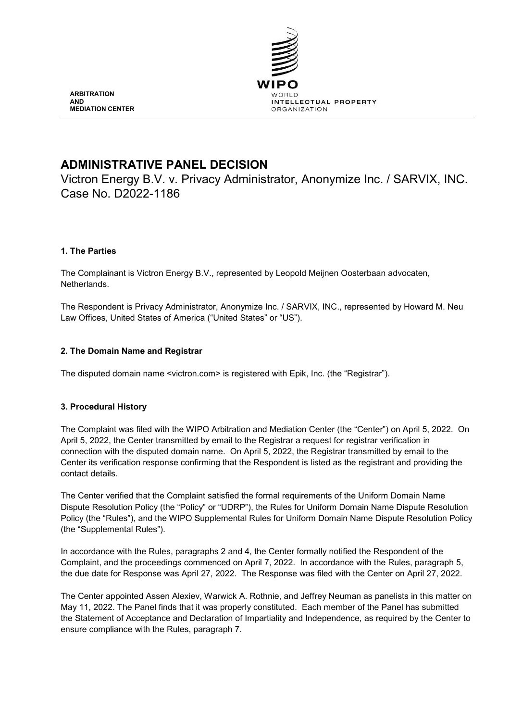

# **ADMINISTRATIVE PANEL DECISION**

Victron Energy B.V. v. Privacy Administrator, Anonymize Inc. / SARVIX, INC. Case No. D2022-1186

# **1. The Parties**

The Complainant is Victron Energy B.V., represented by Leopold Meijnen Oosterbaan advocaten, Netherlands.

The Respondent is Privacy Administrator, Anonymize Inc. / SARVIX, INC., represented by Howard M. Neu Law Offices, United States of America ("United States" or "US").

### **2. The Domain Name and Registrar**

The disputed domain name <victron.com> is registered with Epik, Inc. (the "Registrar").

### **3. Procedural History**

The Complaint was filed with the WIPO Arbitration and Mediation Center (the "Center") on April 5, 2022. On April 5, 2022, the Center transmitted by email to the Registrar a request for registrar verification in connection with the disputed domain name. On April 5, 2022, the Registrar transmitted by email to the Center its verification response confirming that the Respondent is listed as the registrant and providing the contact details.

The Center verified that the Complaint satisfied the formal requirements of the Uniform Domain Name Dispute Resolution Policy (the "Policy" or "UDRP"), the Rules for Uniform Domain Name Dispute Resolution Policy (the "Rules"), and the WIPO Supplemental Rules for Uniform Domain Name Dispute Resolution Policy (the "Supplemental Rules").

In accordance with the Rules, paragraphs 2 and 4, the Center formally notified the Respondent of the Complaint, and the proceedings commenced on April 7, 2022. In accordance with the Rules, paragraph 5, the due date for Response was April 27, 2022. The Response was filed with the Center on April 27, 2022.

The Center appointed Assen Alexiev, Warwick A. Rothnie, and Jeffrey Neuman as panelists in this matter on May 11, 2022. The Panel finds that it was properly constituted. Each member of the Panel has submitted the Statement of Acceptance and Declaration of Impartiality and Independence, as required by the Center to ensure compliance with the Rules, paragraph 7.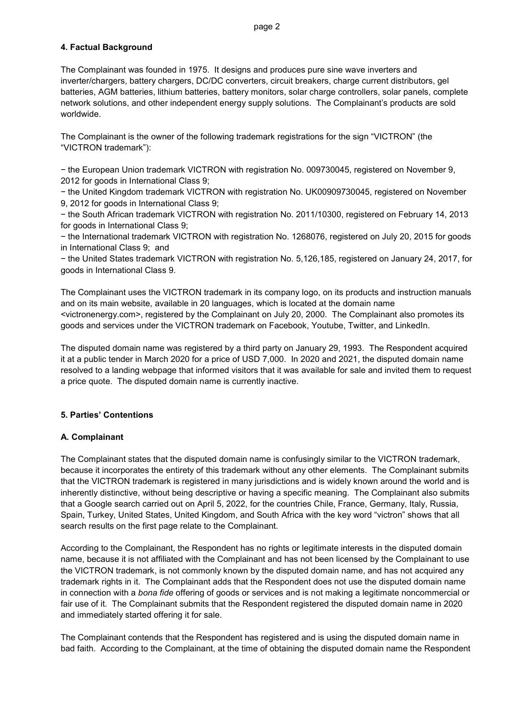# **4. Factual Background**

The Complainant was founded in 1975. It designs and produces pure sine wave inverters and inverter/chargers, battery chargers, DC/DC converters, circuit breakers, charge current distributors, gel batteries, AGM batteries, lithium batteries, battery monitors, solar charge controllers, solar panels, complete network solutions, and other independent energy supply solutions. The Complainant's products are sold worldwide.

The Complainant is the owner of the following trademark registrations for the sign "VICTRON" (the "VICTRON trademark"):

− the European Union trademark VICTRON with registration No. 009730045, registered on November 9, 2012 for goods in International Class 9;

− the United Kingdom trademark VICTRON with registration No. UK00909730045, registered on November 9, 2012 for goods in International Class 9;

− the South African trademark VICTRON with registration No. 2011/10300, registered on February 14, 2013 for goods in International Class 9;

− the International trademark VICTRON with registration No. 1268076, registered on July 20, 2015 for goods in International Class 9; and

− the United States trademark VICTRON with registration No. 5,126,185, registered on January 24, 2017, for goods in International Class 9.

The Complainant uses the VICTRON trademark in its company logo, on its products and instruction manuals and on its main website, available in 20 languages, which is located at the domain name <victronenergy.com>, registered by the Complainant on July 20, 2000. The Complainant also promotes its goods and services under the VICTRON trademark on Facebook, Youtube, Twitter, and LinkedIn.

The disputed domain name was registered by a third party on January 29, 1993. The Respondent acquired it at a public tender in March 2020 for a price of USD 7,000. In 2020 and 2021, the disputed domain name resolved to a landing webpage that informed visitors that it was available for sale and invited them to request a price quote. The disputed domain name is currently inactive.

# **5. Parties' Contentions**

# **A. Complainant**

The Complainant states that the disputed domain name is confusingly similar to the VICTRON trademark, because it incorporates the entirety of this trademark without any other elements. The Complainant submits that the VICTRON trademark is registered in many jurisdictions and is widely known around the world and is inherently distinctive, without being descriptive or having a specific meaning. The Complainant also submits that a Google search carried out on April 5, 2022, for the countries Chile, France, Germany, Italy, Russia, Spain, Turkey, United States, United Kingdom, and South Africa with the key word "victron" shows that all search results on the first page relate to the Complainant.

According to the Complainant, the Respondent has no rights or legitimate interests in the disputed domain name, because it is not affiliated with the Complainant and has not been licensed by the Complainant to use the VICTRON trademark, is not commonly known by the disputed domain name, and has not acquired any trademark rights in it. The Complainant adds that the Respondent does not use the disputed domain name in connection with a *bona fide* offering of goods or services and is not making a legitimate noncommercial or fair use of it. The Complainant submits that the Respondent registered the disputed domain name in 2020 and immediately started offering it for sale.

The Complainant contends that the Respondent has registered and is using the disputed domain name in bad faith. According to the Complainant, at the time of obtaining the disputed domain name the Respondent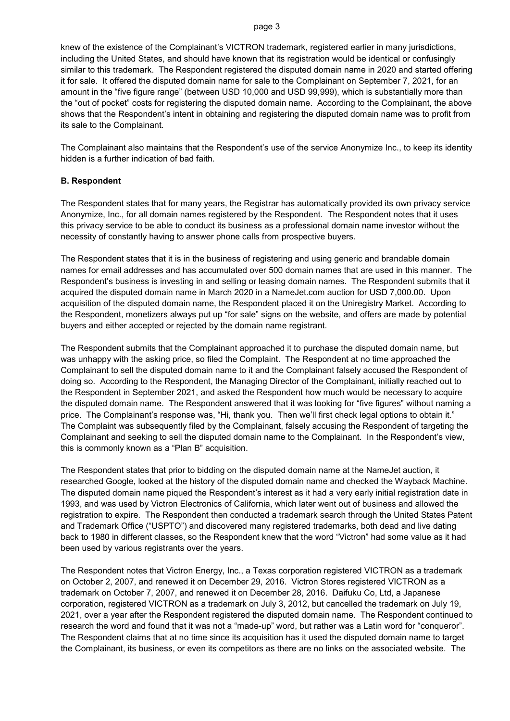knew of the existence of the Complainant's VICTRON trademark, registered earlier in many jurisdictions, including the United States, and should have known that its registration would be identical or confusingly similar to this trademark. The Respondent registered the disputed domain name in 2020 and started offering it for sale. It offered the disputed domain name for sale to the Complainant on September 7, 2021, for an amount in the "five figure range" (between USD 10,000 and USD 99,999), which is substantially more than the "out of pocket" costs for registering the disputed domain name. According to the Complainant, the above shows that the Respondent's intent in obtaining and registering the disputed domain name was to profit from its sale to the Complainant.

The Complainant also maintains that the Respondent's use of the service Anonymize Inc., to keep its identity hidden is a further indication of bad faith.

#### **B. Respondent**

The Respondent states that for many years, the Registrar has automatically provided its own privacy service Anonymize, Inc., for all domain names registered by the Respondent. The Respondent notes that it uses this privacy service to be able to conduct its business as a professional domain name investor without the necessity of constantly having to answer phone calls from prospective buyers.

The Respondent states that it is in the business of registering and using generic and brandable domain names for email addresses and has accumulated over 500 domain names that are used in this manner. The Respondent's business is investing in and selling or leasing domain names. The Respondent submits that it acquired the disputed domain name in March 2020 in a NameJet.com auction for USD 7,000.00. Upon acquisition of the disputed domain name, the Respondent placed it on the Uniregistry Market. According to the Respondent, monetizers always put up "for sale" signs on the website, and offers are made by potential buyers and either accepted or rejected by the domain name registrant.

The Respondent submits that the Complainant approached it to purchase the disputed domain name, but was unhappy with the asking price, so filed the Complaint. The Respondent at no time approached the Complainant to sell the disputed domain name to it and the Complainant falsely accused the Respondent of doing so. According to the Respondent, the Managing Director of the Complainant, initially reached out to the Respondent in September 2021, and asked the Respondent how much would be necessary to acquire the disputed domain name. The Respondent answered that it was looking for "five figures" without naming a price. The Complainant's response was, "Hi, thank you. Then we'll first check legal options to obtain it." The Complaint was subsequently filed by the Complainant, falsely accusing the Respondent of targeting the Complainant and seeking to sell the disputed domain name to the Complainant. In the Respondent's view, this is commonly known as a "Plan B" acquisition.

The Respondent states that prior to bidding on the disputed domain name at the NameJet auction, it researched Google, looked at the history of the disputed domain name and checked the Wayback Machine. The disputed domain name piqued the Respondent's interest as it had a very early initial registration date in 1993, and was used by Victron Electronics of California, which later went out of business and allowed the registration to expire. The Respondent then conducted a trademark search through the United States Patent and Trademark Office ("USPTO") and discovered many registered trademarks, both dead and live dating back to 1980 in different classes, so the Respondent knew that the word "Victron" had some value as it had been used by various registrants over the years.

The Respondent notes that Victron Energy, Inc., a Texas corporation registered VICTRON as a trademark on October 2, 2007, and renewed it on December 29, 2016. Victron Stores registered VICTRON as a trademark on October 7, 2007, and renewed it on December 28, 2016. Daifuku Co, Ltd, a Japanese corporation, registered VICTRON as a trademark on July 3, 2012, but cancelled the trademark on July 19, 2021, over a year after the Respondent registered the disputed domain name. The Respondent continued to research the word and found that it was not a "made-up" word, but rather was a Latin word for "conqueror". The Respondent claims that at no time since its acquisition has it used the disputed domain name to target the Complainant, its business, or even its competitors as there are no links on the associated website. The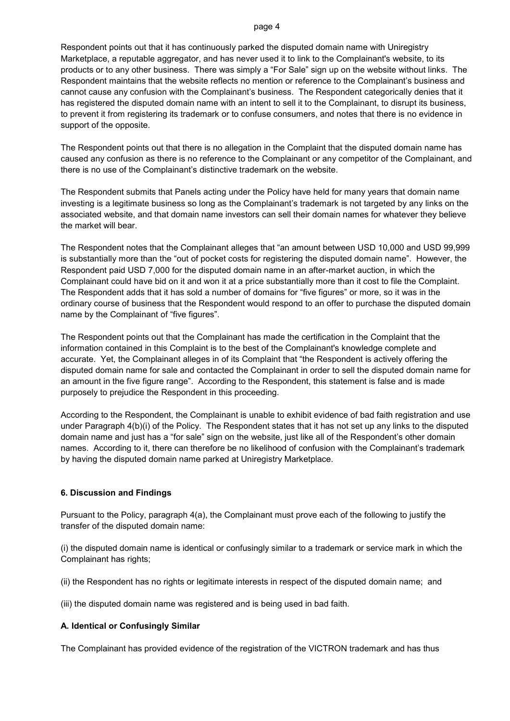Respondent points out that it has continuously parked the disputed domain name with Uniregistry Marketplace, a reputable aggregator, and has never used it to link to the Complainant's website, to its products or to any other business. There was simply a "For Sale" sign up on the website without links. The Respondent maintains that the website reflects no mention or reference to the Complainant's business and cannot cause any confusion with the Complainant's business. The Respondent categorically denies that it has registered the disputed domain name with an intent to sell it to the Complainant, to disrupt its business, to prevent it from registering its trademark or to confuse consumers, and notes that there is no evidence in support of the opposite.

The Respondent points out that there is no allegation in the Complaint that the disputed domain name has caused any confusion as there is no reference to the Complainant or any competitor of the Complainant, and there is no use of the Complainant's distinctive trademark on the website.

The Respondent submits that Panels acting under the Policy have held for many years that domain name investing is a legitimate business so long as the Complainant's trademark is not targeted by any links on the associated website, and that domain name investors can sell their domain names for whatever they believe the market will bear.

The Respondent notes that the Complainant alleges that "an amount between USD 10,000 and USD 99,999 is substantially more than the "out of pocket costs for registering the disputed domain name". However, the Respondent paid USD 7,000 for the disputed domain name in an after-market auction, in which the Complainant could have bid on it and won it at a price substantially more than it cost to file the Complaint. The Respondent adds that it has sold a number of domains for "five figures" or more, so it was in the ordinary course of business that the Respondent would respond to an offer to purchase the disputed domain name by the Complainant of "five figures".

The Respondent points out that the Complainant has made the certification in the Complaint that the information contained in this Complaint is to the best of the Complainant's knowledge complete and accurate. Yet, the Complainant alleges in of its Complaint that "the Respondent is actively offering the disputed domain name for sale and contacted the Complainant in order to sell the disputed domain name for an amount in the five figure range". According to the Respondent, this statement is false and is made purposely to prejudice the Respondent in this proceeding.

According to the Respondent, the Complainant is unable to exhibit evidence of bad faith registration and use under Paragraph 4(b)(i) of the Policy. The Respondent states that it has not set up any links to the disputed domain name and just has a "for sale" sign on the website, just like all of the Respondent's other domain names. According to it, there can therefore be no likelihood of confusion with the Complainant's trademark by having the disputed domain name parked at Uniregistry Marketplace.

### **6. Discussion and Findings**

Pursuant to the Policy, paragraph 4(a), the Complainant must prove each of the following to justify the transfer of the disputed domain name:

(i) the disputed domain name is identical or confusingly similar to a trademark or service mark in which the Complainant has rights;

(ii) the Respondent has no rights or legitimate interests in respect of the disputed domain name; and

(iii) the disputed domain name was registered and is being used in bad faith.

### **A. Identical or Confusingly Similar**

The Complainant has provided evidence of the registration of the VICTRON trademark and has thus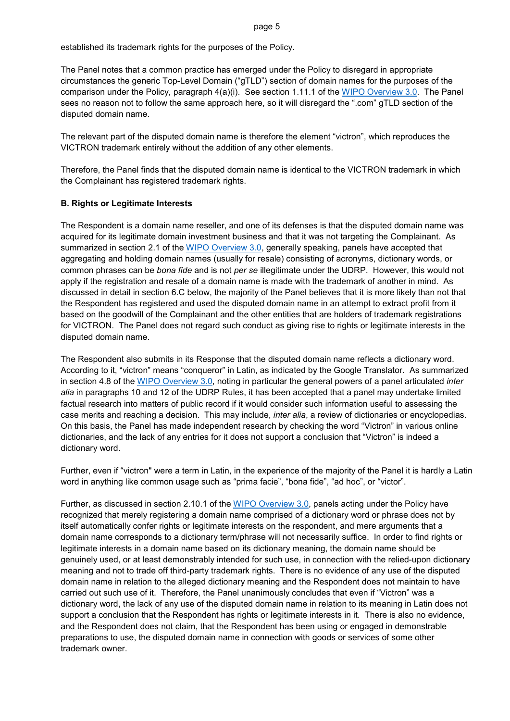established its trademark rights for the purposes of the Policy.

The Panel notes that a common practice has emerged under the Policy to disregard in appropriate circumstances the generic Top-Level Domain ("gTLD") section of domain names for the purposes of the comparison under the Policy, paragraph 4(a)(i). See section 1.11.1 of the [WIPO Overview 3.0](https://www.wipo.int/amc/en/domains/search/overview3.0/). The Panel sees no reason not to follow the same approach here, so it will disregard the ".com" gTLD section of the disputed domain name.

The relevant part of the disputed domain name is therefore the element "victron", which reproduces the VICTRON trademark entirely without the addition of any other elements.

Therefore, the Panel finds that the disputed domain name is identical to the VICTRON trademark in which the Complainant has registered trademark rights.

### **B. Rights or Legitimate Interests**

The Respondent is a domain name reseller, and one of its defenses is that the disputed domain name was acquired for its legitimate domain investment business and that it was not targeting the Complainant. As summarized in section 2.1 of the [WIPO Overview 3.0](https://www.wipo.int/amc/en/domains/search/overview3.0/), generally speaking, panels have accepted that aggregating and holding domain names (usually for resale) consisting of acronyms, dictionary words, or common phrases can be *bona fide* and is not *per se* illegitimate under the UDRP. However, this would not apply if the registration and resale of a domain name is made with the trademark of another in mind. As discussed in detail in section 6.C below, the majority of the Panel believes that it is more likely than not that the Respondent has registered and used the disputed domain name in an attempt to extract profit from it based on the goodwill of the Complainant and the other entities that are holders of trademark registrations for VICTRON. The Panel does not regard such conduct as giving rise to rights or legitimate interests in the disputed domain name.

The Respondent also submits in its Response that the disputed domain name reflects a dictionary word. According to it, "victron" means "conqueror" in Latin, as indicated by the Google Translator. As summarized in section 4.8 of the [WIPO Overview 3.0](https://www.wipo.int/amc/en/domains/search/overview3.0/), noting in particular the general powers of a panel articulated *inter alia* in paragraphs 10 and 12 of the UDRP Rules, it has been accepted that a panel may undertake limited factual research into matters of public record if it would consider such information useful to assessing the case merits and reaching a decision. This may include, *inter alia*, a review of dictionaries or encyclopedias. On this basis, the Panel has made independent research by checking the word "Victron" in various online dictionaries, and the lack of any entries for it does not support a conclusion that "Victron" is indeed a dictionary word.

Further, even if "victron" were a term in Latin, in the experience of the majority of the Panel it is hardly a Latin word in anything like common usage such as "prima facie", "bona fide", "ad hoc", or "victor".

Further, as discussed in section 2.10.1 of the [WIPO Overview 3.0](https://www.wipo.int/amc/en/domains/search/overview3.0/), panels acting under the Policy have recognized that merely registering a domain name comprised of a dictionary word or phrase does not by itself automatically confer rights or legitimate interests on the respondent, and mere arguments that a domain name corresponds to a dictionary term/phrase will not necessarily suffice. In order to find rights or legitimate interests in a domain name based on its dictionary meaning, the domain name should be genuinely used, or at least demonstrably intended for such use, in connection with the relied-upon dictionary meaning and not to trade off third-party trademark rights. There is no evidence of any use of the disputed domain name in relation to the alleged dictionary meaning and the Respondent does not maintain to have carried out such use of it. Therefore, the Panel unanimously concludes that even if "Victron" was a dictionary word, the lack of any use of the disputed domain name in relation to its meaning in Latin does not support a conclusion that the Respondent has rights or legitimate interests in it. There is also no evidence, and the Respondent does not claim, that the Respondent has been using or engaged in demonstrable preparations to use, the disputed domain name in connection with goods or services of some other trademark owner.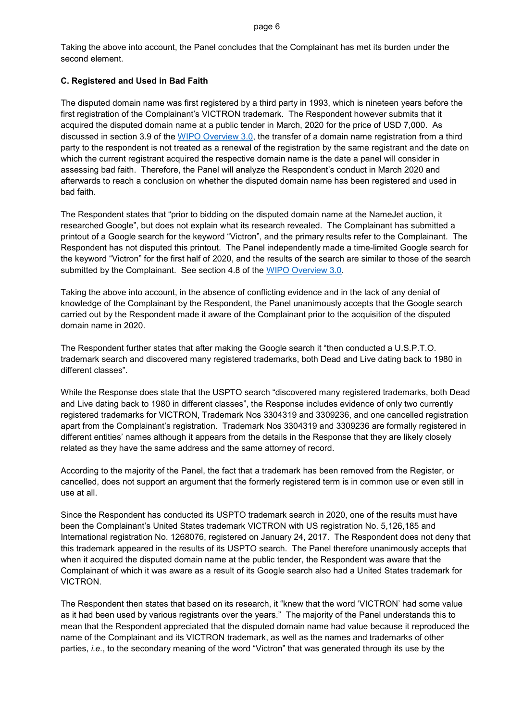Taking the above into account, the Panel concludes that the Complainant has met its burden under the second element.

### **C. Registered and Used in Bad Faith**

The disputed domain name was first registered by a third party in 1993, which is nineteen years before the first registration of the Complainant's VICTRON trademark. The Respondent however submits that it acquired the disputed domain name at a public tender in March, 2020 for the price of USD 7,000. As discussed in section 3.9 of the [WIPO Overview 3.0](https://www.wipo.int/amc/en/domains/search/overview3.0/), the transfer of a domain name registration from a third party to the respondent is not treated as a renewal of the registration by the same registrant and the date on which the current registrant acquired the respective domain name is the date a panel will consider in assessing bad faith. Therefore, the Panel will analyze the Respondent's conduct in March 2020 and afterwards to reach a conclusion on whether the disputed domain name has been registered and used in bad faith.

The Respondent states that "prior to bidding on the disputed domain name at the NameJet auction, it researched Google", but does not explain what its research revealed. The Complainant has submitted a printout of a Google search for the keyword "Victron", and the primary results refer to the Complainant. The Respondent has not disputed this printout. The Panel independently made a time-limited Google search for the keyword "Victron" for the first half of 2020, and the results of the search are similar to those of the search submitted by the Complainant. See section 4.8 of the [WIPO Overview 3.0](https://www.wipo.int/amc/en/domains/search/overview3.0/).

Taking the above into account, in the absence of conflicting evidence and in the lack of any denial of knowledge of the Complainant by the Respondent, the Panel unanimously accepts that the Google search carried out by the Respondent made it aware of the Complainant prior to the acquisition of the disputed domain name in 2020.

The Respondent further states that after making the Google search it "then conducted a U.S.P.T.O. trademark search and discovered many registered trademarks, both Dead and Live dating back to 1980 in different classes".

While the Response does state that the USPTO search "discovered many registered trademarks, both Dead and Live dating back to 1980 in different classes", the Response includes evidence of only two currently registered trademarks for VICTRON, Trademark Nos 3304319 and 3309236, and one cancelled registration apart from the Complainant's registration. Trademark Nos 3304319 and 3309236 are formally registered in different entities' names although it appears from the details in the Response that they are likely closely related as they have the same address and the same attorney of record.

According to the majority of the Panel, the fact that a trademark has been removed from the Register, or cancelled, does not support an argument that the formerly registered term is in common use or even still in use at all.

Since the Respondent has conducted its USPTO trademark search in 2020, one of the results must have been the Complainant's United States trademark VICTRON with US registration No. 5,126,185 and International registration No. 1268076, registered on January 24, 2017. The Respondent does not deny that this trademark appeared in the results of its USPTO search. The Panel therefore unanimously accepts that when it acquired the disputed domain name at the public tender, the Respondent was aware that the Complainant of which it was aware as a result of its Google search also had a United States trademark for VICTRON.

The Respondent then states that based on its research, it "knew that the word 'VICTRON' had some value as it had been used by various registrants over the years." The majority of the Panel understands this to mean that the Respondent appreciated that the disputed domain name had value because it reproduced the name of the Complainant and its VICTRON trademark, as well as the names and trademarks of other parties, *i.e.*, to the secondary meaning of the word "Victron" that was generated through its use by the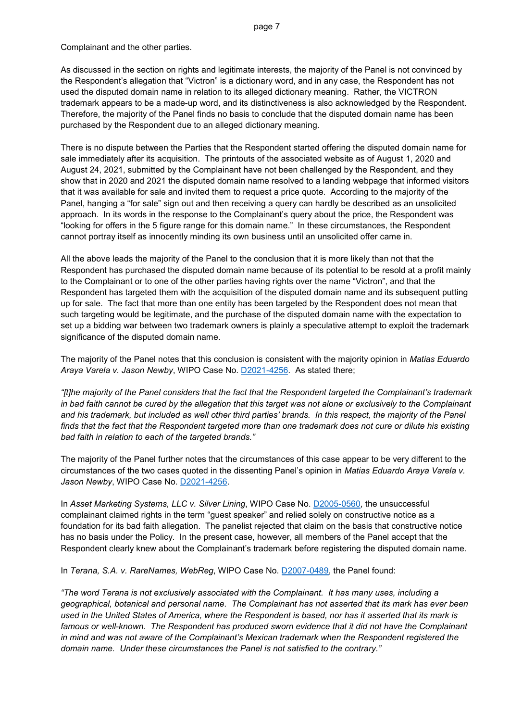Complainant and the other parties.

As discussed in the section on rights and legitimate interests, the majority of the Panel is not convinced by the Respondent's allegation that "Victron" is a dictionary word, and in any case, the Respondent has not used the disputed domain name in relation to its alleged dictionary meaning. Rather, the VICTRON trademark appears to be a made-up word, and its distinctiveness is also acknowledged by the Respondent. Therefore, the majority of the Panel finds no basis to conclude that the disputed domain name has been purchased by the Respondent due to an alleged dictionary meaning.

There is no dispute between the Parties that the Respondent started offering the disputed domain name for sale immediately after its acquisition. The printouts of the associated website as of August 1, 2020 and August 24, 2021, submitted by the Complainant have not been challenged by the Respondent, and they show that in 2020 and 2021 the disputed domain name resolved to a landing webpage that informed visitors that it was available for sale and invited them to request a price quote. According to the majority of the Panel, hanging a "for sale" sign out and then receiving a query can hardly be described as an unsolicited approach. In its words in the response to the Complainant's query about the price, the Respondent was "looking for offers in the 5 figure range for this domain name." In these circumstances, the Respondent cannot portray itself as innocently minding its own business until an unsolicited offer came in.

All the above leads the majority of the Panel to the conclusion that it is more likely than not that the Respondent has purchased the disputed domain name because of its potential to be resold at a profit mainly to the Complainant or to one of the other parties having rights over the name "Victron", and that the Respondent has targeted them with the acquisition of the disputed domain name and its subsequent putting up for sale. The fact that more than one entity has been targeted by the Respondent does not mean that such targeting would be legitimate, and the purchase of the disputed domain name with the expectation to set up a bidding war between two trademark owners is plainly a speculative attempt to exploit the trademark significance of the disputed domain name.

The majority of the Panel notes that this conclusion is consistent with the majority opinion in *Matias Eduardo Araya Varela v. Jason Newby*, WIPO Case No. [D2021-4256.](https://www.wipo.int/amc/en/domains/search/text.jsp?case=D2021-4256) As stated there;

*"[t]he majority of the Panel considers that the fact that the Respondent targeted the Complainant's trademark in bad faith cannot be cured by the allegation that this target was not alone or exclusively to the Complainant and his trademark, but included as well other third parties' brands. In this respect, the majority of the Panel finds that the fact that the Respondent targeted more than one trademark does not cure or dilute his existing bad faith in relation to each of the targeted brands."*

The majority of the Panel further notes that the circumstances of this case appear to be very different to the circumstances of the two cases quoted in the dissenting Panel's opinion in *Matias Eduardo Araya Varela v.*  Jason Newby, WIPO Case No. [D2021-4256.](https://www.wipo.int/amc/en/domains/search/text.jsp?case=D2021-4256)

In *Asset Marketing Systems, LLC v. Silver Lining*, WIPO Case No. [D2005-0560,](https://www.wipo.int/amc/en/domains/decisions/html/2005/d2005-0560.html) the unsuccessful complainant claimed rights in the term "guest speaker" and relied solely on constructive notice as a foundation for its bad faith allegation. The panelist rejected that claim on the basis that constructive notice has no basis under the Policy. In the present case, however, all members of the Panel accept that the Respondent clearly knew about the Complainant's trademark before registering the disputed domain name.

In *Terana, S.A. v. RareNames, WebReg*, WIPO Case No. [D2007-0489,](https://www.wipo.int/amc/en/domains/decisions/html/2007/d2007-0489.html) the Panel found:

*"The word Terana is not exclusively associated with the Complainant. It has many uses, including a geographical, botanical and personal name. The Complainant has not asserted that its mark has ever been used in the United States of America, where the Respondent is based, nor has it asserted that its mark is*  famous or well-known. The Respondent has produced sworn evidence that it did not have the Complainant *in mind and was not aware of the Complainant's Mexican trademark when the Respondent registered the domain name. Under these circumstances the Panel is not satisfied to the contrary."*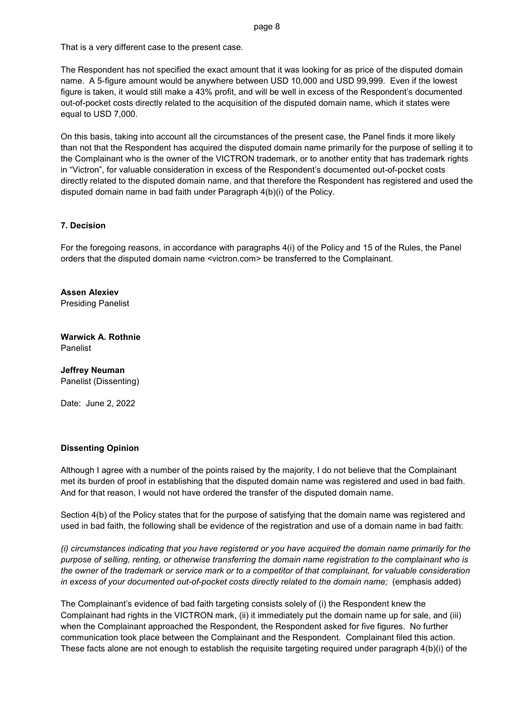That is a very different case to the present case.

The Respondent has not specified the exact amount that it was looking for as price of the disputed domain name. A 5-figure amount would be anywhere between USD 10,000 and USD 99,999. Even if the lowest figure is taken, it would still make a 43% profit, and will be well in excess of the Respondent's documented out-of-pocket costs directly related to the acquisition of the disputed domain name, which it states were equal to USD 7,000.

On this basis, taking into account all the circumstances of the present case, the Panel finds it more likely than not that the Respondent has acquired the disputed domain name primarily for the purpose of selling it to the Complainant who is the owner of the VICTRON trademark, or to another entity that has trademark rights in "Victron", for valuable consideration in excess of the Respondent's documented out-of-pocket costs directly related to the disputed domain name, and that therefore the Respondent has registered and used the disputed domain name in bad faith under Paragraph 4(b)(i) of the Policy.

### **7. Decision**

For the foregoing reasons, in accordance with paragraphs 4(i) of the Policy and 15 of the Rules, the Panel orders that the disputed domain name <victron.com> be transferred to the Complainant.

**Assen Alexiev** Presiding Panelist

**Warwick A. Rothnie** Panelist

# **Jeffrey Neuman**

Panelist (Dissenting)

Date: June 2, 2022

### **Dissenting Opinion**

Although I agree with a number of the points raised by the majority, I do not believe that the Complainant met its burden of proof in establishing that the disputed domain name was registered and used in bad faith. And for that reason, I would not have ordered the transfer of the disputed domain name.

Section 4(b) of the Policy states that for the purpose of satisfying that the domain name was registered and used in bad faith, the following shall be evidence of the registration and use of a domain name in bad faith:

*(i) circumstances indicating that you have registered or you have acquired the domain name primarily for the purpose of selling, renting, or otherwise transferring the domain name registration to the complainant who is the owner of the trademark or service mark or to a competitor of that complainant, for valuable consideration in excess of your documented out-of-pocket costs directly related to the domain name;* (emphasis added)

The Complainant's evidence of bad faith targeting consists solely of (i) the Respondent knew the Complainant had rights in the VICTRON mark, (ii) it immediately put the domain name up for sale, and (iii) when the Complainant approached the Respondent, the Respondent asked for five figures. No further communication took place between the Complainant and the Respondent. Complainant filed this action. These facts alone are not enough to establish the requisite targeting required under paragraph 4(b)(i) of the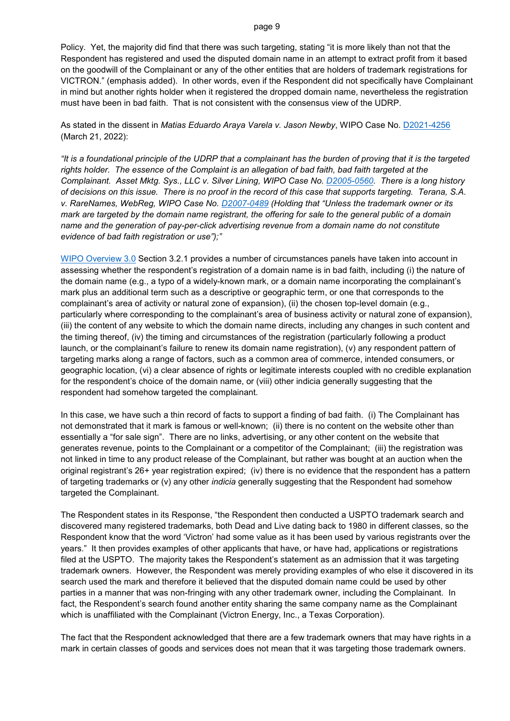Policy. Yet, the majority did find that there was such targeting, stating "it is more likely than not that the Respondent has registered and used the disputed domain name in an attempt to extract profit from it based on the goodwill of the Complainant or any of the other entities that are holders of trademark registrations for VICTRON." (emphasis added). In other words, even if the Respondent did not specifically have Complainant in mind but another rights holder when it registered the dropped domain name, nevertheless the registration must have been in bad faith. That is not consistent with the consensus view of the UDRP.

As stated in the dissent in *Matias Eduardo Araya Varela v. Jason Newby*, WIPO Case No. [D2021-4256](https://www.wipo.int/amc/en/domains/search/text.jsp?case=D2021-4256) (March 21, 2022):

*"It is a foundational principle of the UDRP that a complainant has the burden of proving that it is the targeted rights holder. The essence of the Complaint is an allegation of bad faith, bad faith targeted at the Complainant. Asset Mktg. Sys., LLC v. Silver Lining, WIPO Case No. [D2005-0560.](https://www.wipo.int/amc/en/domains/decisions/html/2005/d2005-0560.html) There is a long history of decisions on this issue. There is no proof in the record of this case that supports targeting. Terana, S.A. v. RareNames, WebReg, WIPO Case No. [D2007-0489](https://www.wipo.int/amc/en/domains/decisions/html/2007/d2007-0489.html) (Holding that "Unless the trademark owner or its mark are targeted by the domain name registrant, the offering for sale to the general public of a domain name and the generation of pay-per-click advertising revenue from a domain name do not constitute evidence of bad faith registration or use");"*

[WIPO Overview 3.0](https://www.wipo.int/amc/en/domains/search/overview3.0/) Section 3.2.1 provides a number of circumstances panels have taken into account in assessing whether the respondent's registration of a domain name is in bad faith, including (i) the nature of the domain name (e.g., a typo of a widely-known mark, or a domain name incorporating the complainant's mark plus an additional term such as a descriptive or geographic term, or one that corresponds to the complainant's area of activity or natural zone of expansion), (ii) the chosen top-level domain (e.g., particularly where corresponding to the complainant's area of business activity or natural zone of expansion), (iii) the content of any website to which the domain name directs, including any changes in such content and the timing thereof, (iv) the timing and circumstances of the registration (particularly following a product launch, or the complainant's failure to renew its domain name registration), (v) any respondent pattern of targeting marks along a range of factors, such as a common area of commerce, intended consumers, or geographic location, (vi) a clear absence of rights or legitimate interests coupled with no credible explanation for the respondent's choice of the domain name, or (viii) other indicia generally suggesting that the respondent had somehow targeted the complainant.

In this case, we have such a thin record of facts to support a finding of bad faith. (i) The Complainant has not demonstrated that it mark is famous or well-known; (ii) there is no content on the website other than essentially a "for sale sign". There are no links, advertising, or any other content on the website that generates revenue, points to the Complainant or a competitor of the Complainant; (iii) the registration was not linked in time to any product release of the Complainant, but rather was bought at an auction when the original registrant's 26+ year registration expired; (iv) there is no evidence that the respondent has a pattern of targeting trademarks or (v) any other *indicia* generally suggesting that the Respondent had somehow targeted the Complainant.

The Respondent states in its Response, "the Respondent then conducted a USPTO trademark search and discovered many registered trademarks, both Dead and Live dating back to 1980 in different classes, so the Respondent know that the word 'Victron' had some value as it has been used by various registrants over the years." It then provides examples of other applicants that have, or have had, applications or registrations filed at the USPTO. The majority takes the Respondent's statement as an admission that it was targeting trademark owners. However, the Respondent was merely providing examples of who else it discovered in its search used the mark and therefore it believed that the disputed domain name could be used by other parties in a manner that was non-fringing with any other trademark owner, including the Complainant. In fact, the Respondent's search found another entity sharing the same company name as the Complainant which is unaffiliated with the Complainant (Victron Energy, Inc., a Texas Corporation).

The fact that the Respondent acknowledged that there are a few trademark owners that may have rights in a mark in certain classes of goods and services does not mean that it was targeting those trademark owners.